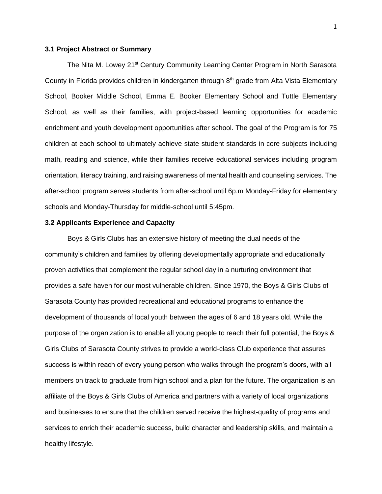### **3.1 Project Abstract or Summary**

The Nita M. Lowey 21<sup>st</sup> Century Community Learning Center Program in North Sarasota County in Florida provides children in kindergarten through  $8<sup>th</sup>$  grade from Alta Vista Elementary School, Booker Middle School, Emma E. Booker Elementary School and Tuttle Elementary School, as well as their families, with project-based learning opportunities for academic enrichment and youth development opportunities after school. The goal of the Program is for 75 children at each school to ultimately achieve state student standards in core subjects including math, reading and science, while their families receive educational services including program orientation, literacy training, and raising awareness of mental health and counseling services. The after-school program serves students from after-school until 6p.m Monday-Friday for elementary schools and Monday-Thursday for middle-school until 5:45pm.

# **3.2 Applicants Experience and Capacity**

Boys & Girls Clubs has an extensive history of meeting the dual needs of the community's children and families by offering developmentally appropriate and educationally proven activities that complement the regular school day in a nurturing environment that provides a safe haven for our most vulnerable children. Since 1970, the Boys & Girls Clubs of Sarasota County has provided recreational and educational programs to enhance the development of thousands of local youth between the ages of 6 and 18 years old. While the purpose of the organization is to enable all young people to reach their full potential, the Boys & Girls Clubs of Sarasota County strives to provide a world-class Club experience that assures success is within reach of every young person who walks through the program's doors, with all members on track to graduate from high school and a plan for the future. The organization is an affiliate of the Boys & Girls Clubs of America and partners with a variety of local organizations and businesses to ensure that the children served receive the highest-quality of programs and services to enrich their academic success, build character and leadership skills, and maintain a healthy lifestyle.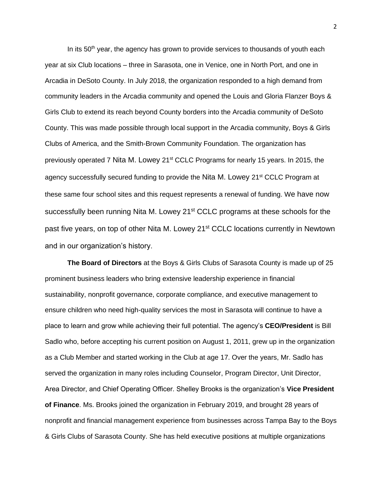In its  $50<sup>th</sup>$  year, the agency has grown to provide services to thousands of youth each year at six Club locations – three in Sarasota, one in Venice, one in North Port, and one in Arcadia in DeSoto County. In July 2018, the organization responded to a high demand from community leaders in the Arcadia community and opened the Louis and Gloria Flanzer Boys & Girls Club to extend its reach beyond County borders into the Arcadia community of DeSoto County. This was made possible through local support in the Arcadia community, Boys & Girls Clubs of America, and the Smith-Brown Community Foundation. The organization has previously operated 7 Nita M. Lowey 21<sup>st</sup> CCLC Programs for nearly 15 years. In 2015, the agency successfully secured funding to provide the Nita M. Lowey 21<sup>st</sup> CCLC Program at these same four school sites and this request represents a renewal of funding. We have now successfully been running Nita M. Lowey 21<sup>st</sup> CCLC programs at these schools for the past five years, on top of other Nita M. Lowey 21<sup>st</sup> CCLC locations currently in Newtown and in our organization's history.

**The Board of Directors** at the Boys & Girls Clubs of Sarasota County is made up of 25 prominent business leaders who bring extensive leadership experience in financial sustainability, nonprofit governance, corporate compliance, and executive management to ensure children who need high-quality services the most in Sarasota will continue to have a place to learn and grow while achieving their full potential. The agency's **CEO/President** is Bill Sadlo who, before accepting his current position on August 1, 2011, grew up in the organization as a Club Member and started working in the Club at age 17. Over the years, Mr. Sadlo has served the organization in many roles including Counselor, Program Director, Unit Director, Area Director, and Chief Operating Officer. Shelley Brooks is the organization's **Vice President of Finance**. Ms. Brooks joined the organization in February 2019, and brought 28 years of nonprofit and financial management experience from businesses across Tampa Bay to the Boys & Girls Clubs of Sarasota County. She has held executive positions at multiple organizations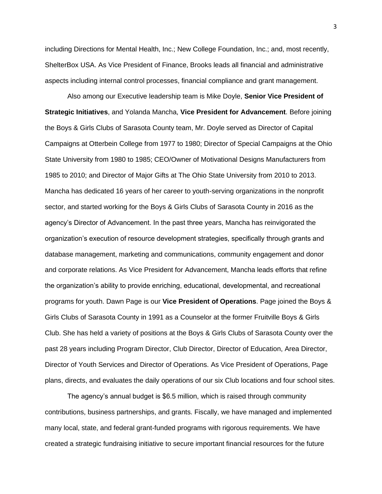including Directions for Mental Health, Inc.; New College Foundation, Inc.; and, most recently, ShelterBox USA. As Vice President of Finance, Brooks leads all financial and administrative aspects including internal control processes, financial compliance and grant management.

Also among our Executive leadership team is Mike Doyle, **Senior Vice President of Strategic Initiatives**, and Yolanda Mancha, **Vice President for Advancement**. Before joining the Boys & Girls Clubs of Sarasota County team, Mr. Doyle served as Director of Capital Campaigns at Otterbein College from 1977 to 1980; Director of Special Campaigns at the Ohio State University from 1980 to 1985; CEO/Owner of Motivational Designs Manufacturers from 1985 to 2010; and Director of Major Gifts at The Ohio State University from 2010 to 2013. Mancha has dedicated 16 years of her career to youth-serving organizations in the nonprofit sector, and started working for the Boys & Girls Clubs of Sarasota County in 2016 as the agency's Director of Advancement. In the past three years, Mancha has reinvigorated the organization's execution of resource development strategies, specifically through grants and database management, marketing and communications, community engagement and donor and corporate relations. As Vice President for Advancement, Mancha leads efforts that refine the organization's ability to provide enriching, educational, developmental, and recreational programs for youth. Dawn Page is our **Vice President of Operations**. Page joined the Boys & Girls Clubs of Sarasota County in 1991 as a Counselor at the former Fruitville Boys & Girls Club. She has held a variety of positions at the Boys & Girls Clubs of Sarasota County over the past 28 years including Program Director, Club Director, Director of Education, Area Director, Director of Youth Services and Director of Operations. As Vice President of Operations, Page plans, directs, and evaluates the daily operations of our six Club locations and four school sites.

The agency's annual budget is \$6.5 million, which is raised through community contributions, business partnerships, and grants. Fiscally, we have managed and implemented many local, state, and federal grant-funded programs with rigorous requirements. We have created a strategic fundraising initiative to secure important financial resources for the future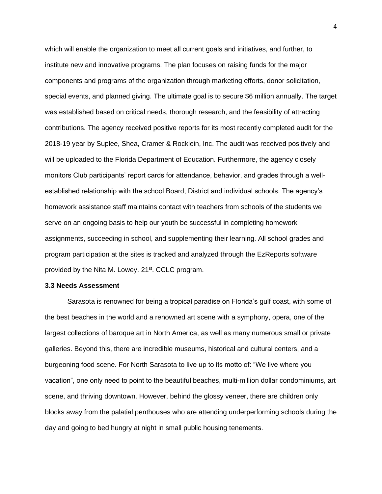which will enable the organization to meet all current goals and initiatives, and further, to institute new and innovative programs. The plan focuses on raising funds for the major components and programs of the organization through marketing efforts, donor solicitation, special events, and planned giving. The ultimate goal is to secure \$6 million annually. The target was established based on critical needs, thorough research, and the feasibility of attracting contributions. The agency received positive reports for its most recently completed audit for the 2018-19 year by Suplee, Shea, Cramer & Rocklein, Inc. The audit was received positively and will be uploaded to the Florida Department of Education. Furthermore, the agency closely monitors Club participants' report cards for attendance, behavior, and grades through a wellestablished relationship with the school Board, District and individual schools. The agency's homework assistance staff maintains contact with teachers from schools of the students we serve on an ongoing basis to help our youth be successful in completing homework assignments, succeeding in school, and supplementing their learning. All school grades and program participation at the sites is tracked and analyzed through the EzReports software provided by the Nita M. Lowey. 21<sup>st</sup>. CCLC program.

## **3.3 Needs Assessment**

Sarasota is renowned for being a tropical paradise on Florida's gulf coast, with some of the best beaches in the world and a renowned art scene with a symphony, opera, one of the largest collections of baroque art in North America, as well as many numerous small or private galleries. Beyond this, there are incredible museums, historical and cultural centers, and a burgeoning food scene. For North Sarasota to live up to its motto of: "We live where you vacation", one only need to point to the beautiful beaches, multi-million dollar condominiums, art scene, and thriving downtown. However, behind the glossy veneer, there are children only blocks away from the palatial penthouses who are attending underperforming schools during the day and going to bed hungry at night in small public housing tenements.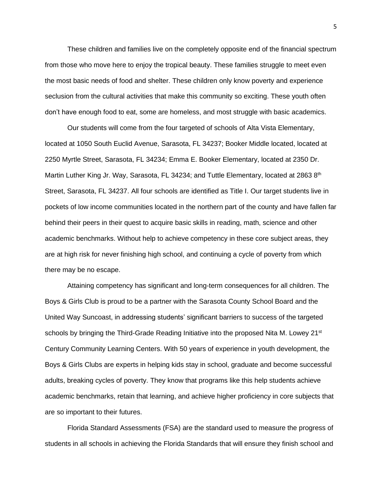These children and families live on the completely opposite end of the financial spectrum from those who move here to enjoy the tropical beauty. These families struggle to meet even the most basic needs of food and shelter. These children only know poverty and experience seclusion from the cultural activities that make this community so exciting. These youth often don't have enough food to eat, some are homeless, and most struggle with basic academics.

Our students will come from the four targeted of schools of Alta Vista Elementary, located at 1050 South Euclid Avenue, Sarasota, FL 34237; Booker Middle located, located at 2250 Myrtle Street, Sarasota, FL 34234; Emma E. Booker Elementary, located at 2350 Dr. Martin Luther King Jr. Way, Sarasota, FL 34234; and Tuttle Elementary, located at 2863 8<sup>th</sup> Street, Sarasota, FL 34237. All four schools are identified as Title I. Our target students live in pockets of low income communities located in the northern part of the county and have fallen far behind their peers in their quest to acquire basic skills in reading, math, science and other academic benchmarks. Without help to achieve competency in these core subject areas, they are at high risk for never finishing high school, and continuing a cycle of poverty from which there may be no escape.

Attaining competency has significant and long-term consequences for all children. The Boys & Girls Club is proud to be a partner with the Sarasota County School Board and the United Way Suncoast, in addressing students' significant barriers to success of the targeted schools by bringing the Third-Grade Reading Initiative into the proposed Nita M. Lowey  $21^{st}$ Century Community Learning Centers. With 50 years of experience in youth development, the Boys & Girls Clubs are experts in helping kids stay in school, graduate and become successful adults, breaking cycles of poverty. They know that programs like this help students achieve academic benchmarks, retain that learning, and achieve higher proficiency in core subjects that are so important to their futures.

Florida Standard Assessments (FSA) are the standard used to measure the progress of students in all schools in achieving the Florida Standards that will ensure they finish school and

5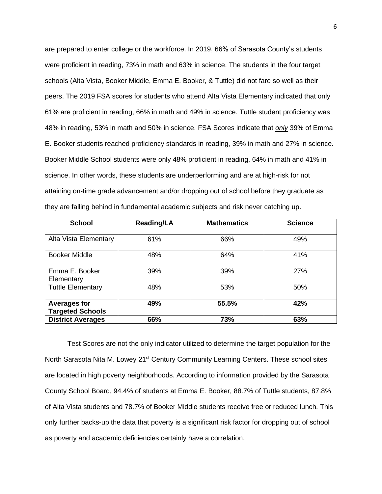are prepared to enter college or the workforce. In 2019, 66% of Sarasota County's students were proficient in reading, 73% in math and 63% in science. The students in the four target schools (Alta Vista, Booker Middle, Emma E. Booker, & Tuttle) did not fare so well as their peers. The 2019 FSA scores for students who attend Alta Vista Elementary indicated that only 61% are proficient in reading, 66% in math and 49% in science. Tuttle student proficiency was 48% in reading, 53% in math and 50% in science. FSA Scores indicate that *only* 39% of Emma E. Booker students reached proficiency standards in reading, 39% in math and 27% in science. Booker Middle School students were only 48% proficient in reading, 64% in math and 41% in science. In other words, these students are underperforming and are at high-risk for not attaining on-time grade advancement and/or dropping out of school before they graduate as they are falling behind in fundamental academic subjects and risk never catching up.

| <b>School</b>                                  | <b>Reading/LA</b> | <b>Mathematics</b> | <b>Science</b> |
|------------------------------------------------|-------------------|--------------------|----------------|
| Alta Vista Elementary                          | 61%               | 66%                | 49%            |
| <b>Booker Middle</b>                           | 48%               | 64%                | 41%            |
| Emma E. Booker<br>Elementary                   | 39%               | 39%                | 27%            |
| <b>Tuttle Elementary</b>                       | 48%               | 53%                | 50%            |
| <b>Averages for</b><br><b>Targeted Schools</b> | 49%               | 55.5%              | 42%            |
| <b>District Averages</b>                       | 66%               | 73%                | 63%            |

Test Scores are not the only indicator utilized to determine the target population for the North Sarasota Nita M. Lowey 21<sup>st</sup> Century Community Learning Centers. These school sites are located in high poverty neighborhoods. According to information provided by the Sarasota County School Board, 94.4% of students at Emma E. Booker, 88.7% of Tuttle students, 87.8% of Alta Vista students and 78.7% of Booker Middle students receive free or reduced lunch. This only further backs-up the data that poverty is a significant risk factor for dropping out of school as poverty and academic deficiencies certainly have a correlation.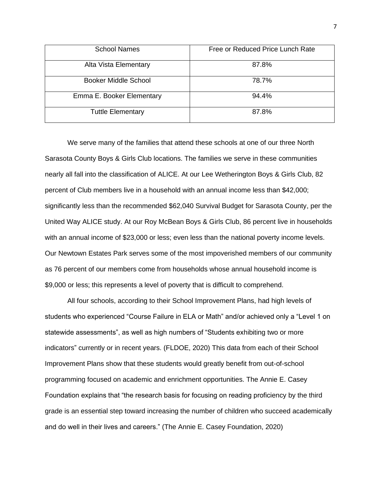| <b>School Names</b>         | Free or Reduced Price Lunch Rate |
|-----------------------------|----------------------------------|
| Alta Vista Elementary       | 87.8%                            |
| <b>Booker Middle School</b> | 78.7%                            |
| Emma E. Booker Elementary   | 94.4%                            |
| <b>Tuttle Elementary</b>    | 87.8%                            |

We serve many of the families that attend these schools at one of our three North Sarasota County Boys & Girls Club locations. The families we serve in these communities nearly all fall into the classification of ALICE. At our Lee Wetherington Boys & Girls Club, 82 percent of Club members live in a household with an annual income less than \$42,000; significantly less than the recommended \$62,040 Survival Budget for Sarasota County, per the United Way ALICE study. At our Roy McBean Boys & Girls Club, 86 percent live in households with an annual income of \$23,000 or less; even less than the national poverty income levels. Our Newtown Estates Park serves some of the most impoverished members of our community as 76 percent of our members come from households whose annual household income is \$9,000 or less; this represents a level of poverty that is difficult to comprehend.

All four schools, according to their School Improvement Plans, had high levels of students who experienced "Course Failure in ELA or Math" and/or achieved only a "Level 1 on statewide assessments", as well as high numbers of "Students exhibiting two or more indicators" currently or in recent years. (FLDOE, 2020) This data from each of their School Improvement Plans show that these students would greatly benefit from out-of-school programming focused on academic and enrichment opportunities. The Annie E. Casey Foundation explains that "the research basis for focusing on reading proficiency by the third grade is an essential step toward increasing the number of children who succeed academically and do well in their lives and careers." (The Annie E. Casey Foundation, 2020)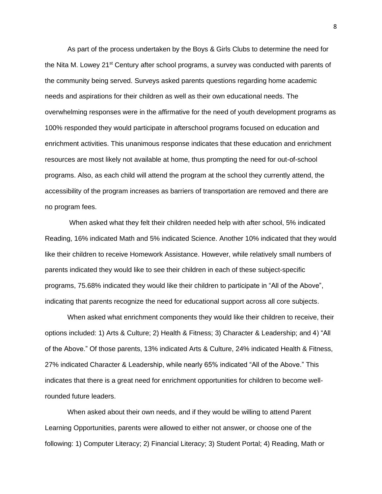As part of the process undertaken by the Boys & Girls Clubs to determine the need for the Nita M. Lowey 21<sup>st</sup> Century after school programs, a survey was conducted with parents of the community being served. Surveys asked parents questions regarding home academic needs and aspirations for their children as well as their own educational needs. The overwhelming responses were in the affirmative for the need of youth development programs as 100% responded they would participate in afterschool programs focused on education and enrichment activities. This unanimous response indicates that these education and enrichment resources are most likely not available at home, thus prompting the need for out-of-school programs. Also, as each child will attend the program at the school they currently attend, the accessibility of the program increases as barriers of transportation are removed and there are no program fees.

When asked what they felt their children needed help with after school, 5% indicated Reading, 16% indicated Math and 5% indicated Science. Another 10% indicated that they would like their children to receive Homework Assistance. However, while relatively small numbers of parents indicated they would like to see their children in each of these subject-specific programs, 75.68% indicated they would like their children to participate in "All of the Above", indicating that parents recognize the need for educational support across all core subjects.

When asked what enrichment components they would like their children to receive, their options included: 1) Arts & Culture; 2) Health & Fitness; 3) Character & Leadership; and 4) "All of the Above." Of those parents, 13% indicated Arts & Culture, 24% indicated Health & Fitness, 27% indicated Character & Leadership, while nearly 65% indicated "All of the Above." This indicates that there is a great need for enrichment opportunities for children to become wellrounded future leaders.

When asked about their own needs, and if they would be willing to attend Parent Learning Opportunities, parents were allowed to either not answer, or choose one of the following: 1) Computer Literacy; 2) Financial Literacy; 3) Student Portal; 4) Reading, Math or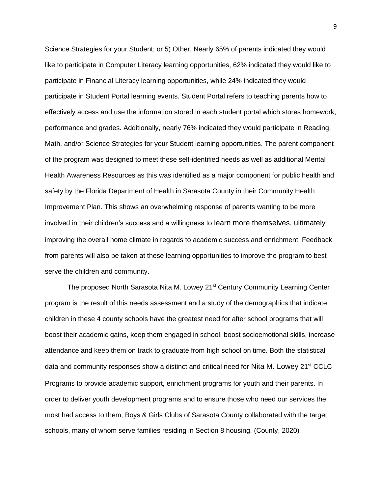Science Strategies for your Student; or 5) Other. Nearly 65% of parents indicated they would like to participate in Computer Literacy learning opportunities, 62% indicated they would like to participate in Financial Literacy learning opportunities, while 24% indicated they would participate in Student Portal learning events. Student Portal refers to teaching parents how to effectively access and use the information stored in each student portal which stores homework, performance and grades. Additionally, nearly 76% indicated they would participate in Reading, Math, and/or Science Strategies for your Student learning opportunities. The parent component of the program was designed to meet these self-identified needs as well as additional Mental Health Awareness Resources as this was identified as a major component for public health and safety by the Florida Department of Health in Sarasota County in their Community Health Improvement Plan. This shows an overwhelming response of parents wanting to be more involved in their children's success and a willingness to learn more themselves, ultimately improving the overall home climate in regards to academic success and enrichment. Feedback from parents will also be taken at these learning opportunities to improve the program to best serve the children and community.

The proposed North Sarasota Nita M. Lowey 21<sup>st</sup> Century Community Learning Center program is the result of this needs assessment and a study of the demographics that indicate children in these 4 county schools have the greatest need for after school programs that will boost their academic gains, keep them engaged in school, boost socioemotional skills, increase attendance and keep them on track to graduate from high school on time. Both the statistical data and community responses show a distinct and critical need for Nita M. Lowey 21<sup>st</sup> CCLC Programs to provide academic support, enrichment programs for youth and their parents. In order to deliver youth development programs and to ensure those who need our services the most had access to them, Boys & Girls Clubs of Sarasota County collaborated with the target schools, many of whom serve families residing in Section 8 housing. (County, 2020)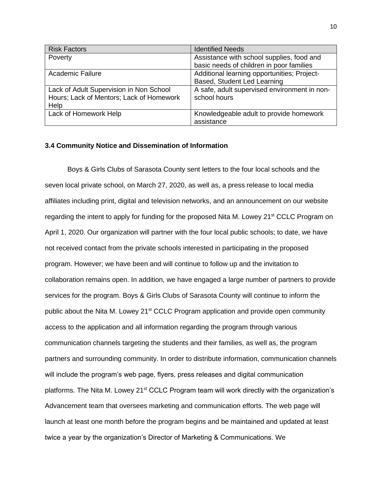| <b>Risk Factors</b>                                                                 | <b>Identified Needs</b>                                      |
|-------------------------------------------------------------------------------------|--------------------------------------------------------------|
| Poverty                                                                             | Assistance with school supplies, food and                    |
|                                                                                     | basic needs of children in poor families                     |
| Academic Failure                                                                    | Additional learning opportunities; Project-                  |
|                                                                                     | Based, Student Led Learning                                  |
| Lack of Adult Supervision in Non School<br>Hours; Lack of Mentors; Lack of Homework | A safe, adult supervised environment in non-<br>school hours |
| Help                                                                                |                                                              |
| Lack of Homework Help                                                               | Knowledgeable adult to provide homework<br>assistance        |

# **3.4 Community Notice and Dissemination of Information**

Boys & Girls Clubs of Sarasota County sent letters to the four local schools and the seven local private school, on March 27, 2020, as well as, a press release to local media affiliates including print, digital and television networks, and an announcement on our website regarding the intent to apply for funding for the proposed Nita M. Lowey 21<sup>st</sup> CCLC Program on April 1, 2020. Our organization will partner with the four local public schools; to date, we have not received contact from the private schools interested in participating in the proposed program. However; we have been and will continue to follow up and the invitation to collaboration remains open. In addition, we have engaged a large number of partners to provide services for the program. Boys & Girls Clubs of Sarasota County will continue to inform the public about the Nita M. Lowey  $21^{st}$  CCLC Program application and provide open community access to the application and all information regarding the program through various communication channels targeting the students and their families, as well as, the program partners and surrounding community. In order to distribute information, communication channels will include the program's web page, flyers, press releases and digital communication platforms. The Nita M. Lowey 21<sup>st</sup> CCLC Program team will work directly with the organization's Advancement team that oversees marketing and communication efforts. The web page will launch at least one month before the program begins and be maintained and updated at least twice a year by the organization's Director of Marketing & Communications. We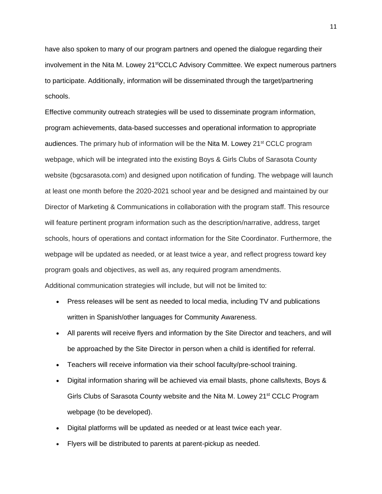have also spoken to many of our program partners and opened the dialogue regarding their involvement in the Nita M. Lowey 21<sup>st</sup>CCLC Advisory Committee. We expect numerous partners to participate. Additionally, information will be disseminated through the target/partnering schools.

Effective community outreach strategies will be used to disseminate program information, program achievements, data-based successes and operational information to appropriate audiences. The primary hub of information will be the Nita M. Lowey 21<sup>st</sup> CCLC program webpage, which will be integrated into the existing Boys & Girls Clubs of Sarasota County website (bgcsarasota.com) and designed upon notification of funding. The webpage will launch at least one month before the 2020-2021 school year and be designed and maintained by our Director of Marketing & Communications in collaboration with the program staff. This resource will feature pertinent program information such as the description/narrative, address, target schools, hours of operations and contact information for the Site Coordinator. Furthermore, the webpage will be updated as needed, or at least twice a year, and reflect progress toward key program goals and objectives, as well as, any required program amendments. Additional communication strategies will include, but will not be limited to:

- Press releases will be sent as needed to local media, including TV and publications written in Spanish/other languages for Community Awareness.
- All parents will receive flyers and information by the Site Director and teachers, and will be approached by the Site Director in person when a child is identified for referral.
- Teachers will receive information via their school faculty/pre-school training.
- Digital information sharing will be achieved via email blasts, phone calls/texts, Boys & Girls Clubs of Sarasota County website and the Nita M. Lowey 21<sup>st</sup> CCLC Program webpage (to be developed).
- Digital platforms will be updated as needed or at least twice each year.
- Flyers will be distributed to parents at parent-pickup as needed.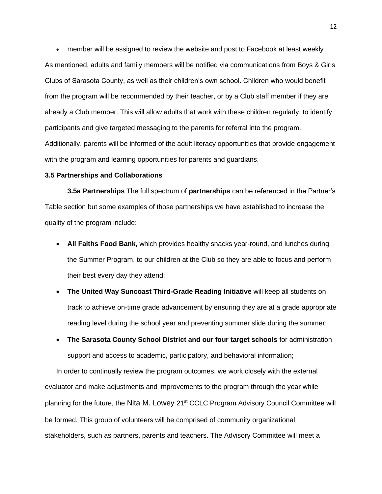• member will be assigned to review the website and post to Facebook at least weekly As mentioned, adults and family members will be notified via communications from Boys & Girls Clubs of Sarasota County, as well as their children's own school. Children who would benefit from the program will be recommended by their teacher, or by a Club staff member if they are already a Club member. This will allow adults that work with these children regularly, to identify participants and give targeted messaging to the parents for referral into the program. Additionally, parents will be informed of the adult literacy opportunities that provide engagement with the program and learning opportunities for parents and guardians.

## **3.5 Partnerships and Collaborations**

**3.5a Partnerships** The full spectrum of **partnerships** can be referenced in the Partner's Table section but some examples of those partnerships we have established to increase the quality of the program include:

- **All Faiths Food Bank,** which provides healthy snacks year-round, and lunches during the Summer Program, to our children at the Club so they are able to focus and perform their best every day they attend;
- **The United Way Suncoast Third-Grade Reading Initiative** will keep all students on track to achieve on-time grade advancement by ensuring they are at a grade appropriate reading level during the school year and preventing summer slide during the summer;
- **The Sarasota County School District and our four target schools** for administration support and access to academic, participatory, and behavioral information;

In order to continually review the program outcomes, we work closely with the external evaluator and make adjustments and improvements to the program through the year while planning for the future, the Nita M. Lowey 21<sup>st</sup> CCLC Program Advisory Council Committee will be formed. This group of volunteers will be comprised of community organizational stakeholders, such as partners, parents and teachers. The Advisory Committee will meet a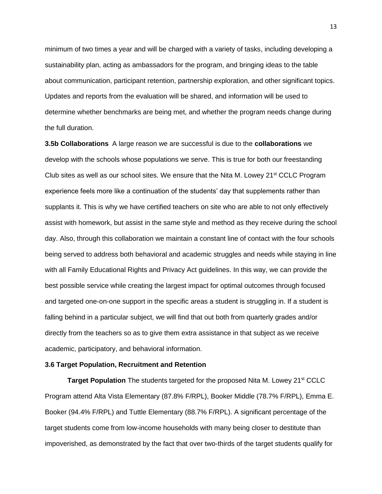minimum of two times a year and will be charged with a variety of tasks, including developing a sustainability plan, acting as ambassadors for the program, and bringing ideas to the table about communication, participant retention, partnership exploration, and other significant topics. Updates and reports from the evaluation will be shared, and information will be used to determine whether benchmarks are being met, and whether the program needs change during the full duration.

**3.5b Collaborations** A large reason we are successful is due to the **collaborations** we develop with the schools whose populations we serve. This is true for both our freestanding Club sites as well as our school sites. We ensure that the Nita M. Lowey  $21^{st}$  CCLC Program experience feels more like a continuation of the students' day that supplements rather than supplants it. This is why we have certified teachers on site who are able to not only effectively assist with homework, but assist in the same style and method as they receive during the school day. Also, through this collaboration we maintain a constant line of contact with the four schools being served to address both behavioral and academic struggles and needs while staying in line with all Family Educational Rights and Privacy Act guidelines. In this way, we can provide the best possible service while creating the largest impact for optimal outcomes through focused and targeted one-on-one support in the specific areas a student is struggling in. If a student is falling behind in a particular subject, we will find that out both from quarterly grades and/or directly from the teachers so as to give them extra assistance in that subject as we receive academic, participatory, and behavioral information.

# **3.6 Target Population, Recruitment and Retention**

**Target Population** The students targeted for the proposed Nita M. Lowey 21<sup>st</sup> CCLC Program attend Alta Vista Elementary (87.8% F/RPL), Booker Middle (78.7% F/RPL), Emma E. Booker (94.4% F/RPL) and Tuttle Elementary (88.7% F/RPL). A significant percentage of the target students come from low-income households with many being closer to destitute than impoverished, as demonstrated by the fact that over two-thirds of the target students qualify for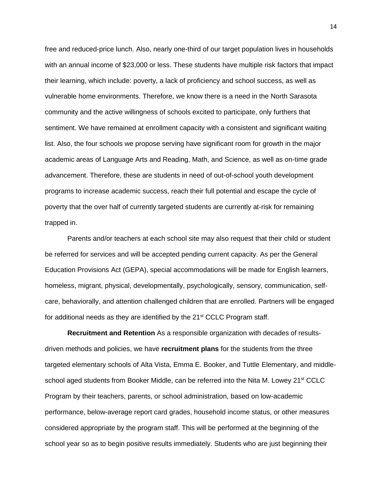free and reduced-price lunch. Also, nearly one-third of our target population lives in households with an annual income of \$23,000 or less. These students have multiple risk factors that impact their learning, which include: poverty, a lack of proficiency and school success, as well as vulnerable home environments. Therefore, we know there is a need in the North Sarasota community and the active willingness of schools excited to participate, only furthers that sentiment. We have remained at enrollment capacity with a consistent and significant waiting list. Also, the four schools we propose serving have significant room for growth in the major academic areas of Language Arts and Reading, Math, and Science, as well as on-time grade advancement. Therefore, these are students in need of out-of-school youth development programs to increase academic success, reach their full potential and escape the cycle of poverty that the over half of currently targeted students are currently at-risk for remaining trapped in.

Parents and/or teachers at each school site may also request that their child or student be referred for services and will be accepted pending current capacity. As per the General Education Provisions Act (GEPA), special accommodations will be made for English learners, homeless, migrant, physical, developmentally, psychologically, sensory, communication, selfcare, behaviorally, and attention challenged children that are enrolled. Partners will be engaged for additional needs as they are identified by the  $21<sup>st</sup>$  CCLC Program staff.

**Recruitment and Retention** As a responsible organization with decades of resultsdriven methods and policies, we have **recruitment plans** for the students from the three targeted elementary schools of Alta Vista, Emma E. Booker, and Tuttle Elementary, and middleschool aged students from Booker Middle, can be referred into the Nita M. Lowey 21<sup>st</sup> CCLC Program by their teachers, parents, or school administration, based on low-academic performance, below-average report card grades, household income status, or other measures considered appropriate by the program staff. This will be performed at the beginning of the school year so as to begin positive results immediately. Students who are just beginning their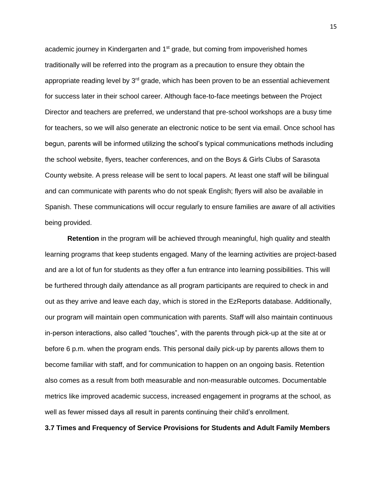academic journey in Kindergarten and 1<sup>st</sup> grade, but coming from impoverished homes traditionally will be referred into the program as a precaution to ensure they obtain the appropriate reading level by  $3<sup>rd</sup>$  grade, which has been proven to be an essential achievement for success later in their school career. Although face-to-face meetings between the Project Director and teachers are preferred, we understand that pre-school workshops are a busy time for teachers, so we will also generate an electronic notice to be sent via email. Once school has begun, parents will be informed utilizing the school's typical communications methods including the school website, flyers, teacher conferences, and on the Boys & Girls Clubs of Sarasota County website. A press release will be sent to local papers. At least one staff will be bilingual and can communicate with parents who do not speak English; flyers will also be available in Spanish. These communications will occur regularly to ensure families are aware of all activities being provided.

**Retention** in the program will be achieved through meaningful, high quality and stealth learning programs that keep students engaged. Many of the learning activities are project-based and are a lot of fun for students as they offer a fun entrance into learning possibilities. This will be furthered through daily attendance as all program participants are required to check in and out as they arrive and leave each day, which is stored in the EzReports database. Additionally, our program will maintain open communication with parents. Staff will also maintain continuous in-person interactions, also called "touches", with the parents through pick-up at the site at or before 6 p.m. when the program ends. This personal daily pick-up by parents allows them to become familiar with staff, and for communication to happen on an ongoing basis. Retention also comes as a result from both measurable and non-measurable outcomes. Documentable metrics like improved academic success, increased engagement in programs at the school, as well as fewer missed days all result in parents continuing their child's enrollment.

### **3.7 Times and Frequency of Service Provisions for Students and Adult Family Members**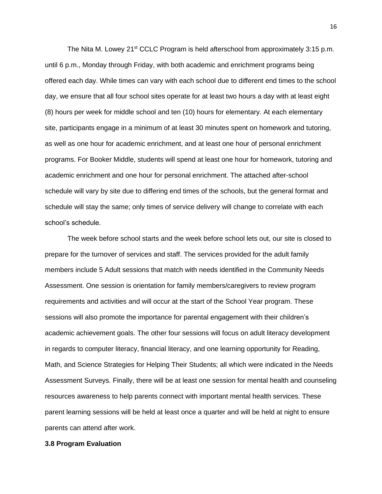The Nita M. Lowey 21<sup>st</sup> CCLC Program is held afterschool from approximately 3:15 p.m. until 6 p.m., Monday through Friday, with both academic and enrichment programs being offered each day. While times can vary with each school due to different end times to the school day, we ensure that all four school sites operate for at least two hours a day with at least eight (8) hours per week for middle school and ten (10) hours for elementary. At each elementary site, participants engage in a minimum of at least 30 minutes spent on homework and tutoring, as well as one hour for academic enrichment, and at least one hour of personal enrichment programs. For Booker Middle, students will spend at least one hour for homework, tutoring and academic enrichment and one hour for personal enrichment. The attached after-school schedule will vary by site due to differing end times of the schools, but the general format and schedule will stay the same; only times of service delivery will change to correlate with each school's schedule.

The week before school starts and the week before school lets out, our site is closed to prepare for the turnover of services and staff. The services provided for the adult family members include 5 Adult sessions that match with needs identified in the Community Needs Assessment. One session is orientation for family members/caregivers to review program requirements and activities and will occur at the start of the School Year program. These sessions will also promote the importance for parental engagement with their children's academic achievement goals. The other four sessions will focus on adult literacy development in regards to computer literacy, financial literacy, and one learning opportunity for Reading, Math, and Science Strategies for Helping Their Students; all which were indicated in the Needs Assessment Surveys. Finally, there will be at least one session for mental health and counseling resources awareness to help parents connect with important mental health services. These parent learning sessions will be held at least once a quarter and will be held at night to ensure parents can attend after work.

### **3.8 Program Evaluation**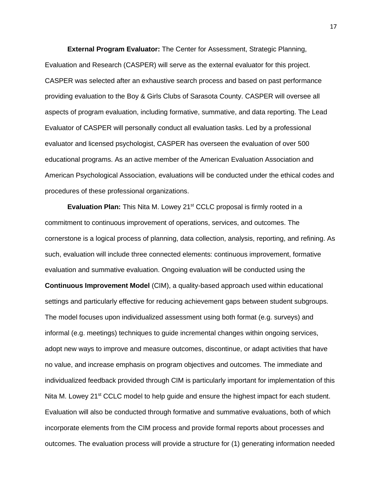**External Program Evaluator:** The Center for Assessment, Strategic Planning, Evaluation and Research (CASPER) will serve as the external evaluator for this project. CASPER was selected after an exhaustive search process and based on past performance providing evaluation to the Boy & Girls Clubs of Sarasota County. CASPER will oversee all aspects of program evaluation, including formative, summative, and data reporting. The Lead Evaluator of CASPER will personally conduct all evaluation tasks. Led by a professional evaluator and licensed psychologist, CASPER has overseen the evaluation of over 500 educational programs. As an active member of the American Evaluation Association and American Psychological Association, evaluations will be conducted under the ethical codes and procedures of these professional organizations.

**Evaluation Plan:** This Nita M. Lowey 21<sup>st</sup> CCLC proposal is firmly rooted in a commitment to continuous improvement of operations, services, and outcomes. The cornerstone is a logical process of planning, data collection, analysis, reporting, and refining. As such, evaluation will include three connected elements: continuous improvement, formative evaluation and summative evaluation. Ongoing evaluation will be conducted using the **Continuous Improvement Model** (CIM), a quality-based approach used within educational settings and particularly effective for reducing achievement gaps between student subgroups. The model focuses upon individualized assessment using both format (e.g. surveys) and informal (e.g. meetings) techniques to guide incremental changes within ongoing services, adopt new ways to improve and measure outcomes, discontinue, or adapt activities that have no value, and increase emphasis on program objectives and outcomes. The immediate and individualized feedback provided through CIM is particularly important for implementation of this Nita M. Lowey 21<sup>st</sup> CCLC model to help quide and ensure the highest impact for each student. Evaluation will also be conducted through formative and summative evaluations, both of which incorporate elements from the CIM process and provide formal reports about processes and outcomes. The evaluation process will provide a structure for (1) generating information needed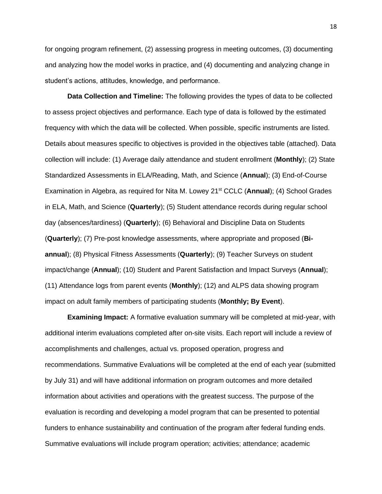for ongoing program refinement, (2) assessing progress in meeting outcomes, (3) documenting and analyzing how the model works in practice, and (4) documenting and analyzing change in student's actions, attitudes, knowledge, and performance.

**Data Collection and Timeline:** The following provides the types of data to be collected to assess project objectives and performance. Each type of data is followed by the estimated frequency with which the data will be collected. When possible, specific instruments are listed. Details about measures specific to objectives is provided in the objectives table (attached). Data collection will include: (1) Average daily attendance and student enrollment (**Monthly**); (2) State Standardized Assessments in ELA/Reading, Math, and Science (**Annual**); (3) End-of-Course Examination in Algebra, as required for Nita M. Lowey 21<sup>st</sup> CCLC (**Annual**); (4) School Grades in ELA, Math, and Science (**Quarterly**); (5) Student attendance records during regular school day (absences/tardiness) (**Quarterly**); (6) Behavioral and Discipline Data on Students (**Quarterly**); (7) Pre-post knowledge assessments, where appropriate and proposed (**Biannual**); (8) Physical Fitness Assessments (**Quarterly**); (9) Teacher Surveys on student impact/change (**Annual**); (10) Student and Parent Satisfaction and Impact Surveys (**Annual**); (11) Attendance logs from parent events (**Monthly**); (12) and ALPS data showing program impact on adult family members of participating students (**Monthly; By Event**).

**Examining Impact:** A formative evaluation summary will be completed at mid-year, with additional interim evaluations completed after on-site visits. Each report will include a review of accomplishments and challenges, actual vs. proposed operation, progress and recommendations. Summative Evaluations will be completed at the end of each year (submitted by July 31) and will have additional information on program outcomes and more detailed information about activities and operations with the greatest success. The purpose of the evaluation is recording and developing a model program that can be presented to potential funders to enhance sustainability and continuation of the program after federal funding ends. Summative evaluations will include program operation; activities; attendance; academic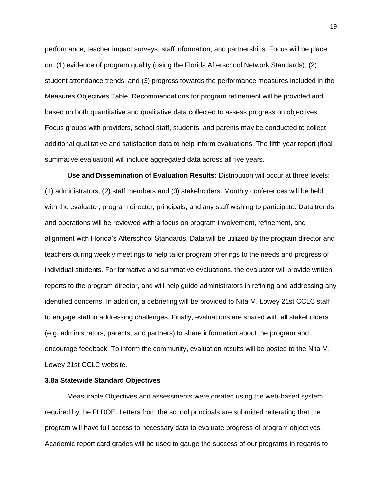performance; teacher impact surveys; staff information; and partnerships. Focus will be place on: (1) evidence of program quality (using the Florida Afterschool Network Standards); (2) student attendance trends; and (3) progress towards the performance measures included in the Measures Objectives Table. Recommendations for program refinement will be provided and based on both quantitative and qualitative data collected to assess progress on objectives. Focus groups with providers, school staff, students, and parents may be conducted to collect additional qualitative and satisfaction data to help inform evaluations. The fifth year report (final summative evaluation) will include aggregated data across all five years.

**Use and Dissemination of Evaluation Results:** Distribution will occur at three levels: (1) administrators, (2) staff members and (3) stakeholders. Monthly conferences will be held with the evaluator, program director, principals, and any staff wishing to participate. Data trends and operations will be reviewed with a focus on program involvement, refinement, and alignment with Florida's Afterschool Standards. Data will be utilized by the program director and teachers during weekly meetings to help tailor program offerings to the needs and progress of individual students. For formative and summative evaluations, the evaluator will provide written reports to the program director, and will help guide administrators in refining and addressing any identified concerns. In addition, a debriefing will be provided to Nita M. Lowey 21st CCLC staff to engage staff in addressing challenges. Finally, evaluations are shared with all stakeholders (e.g. administrators, parents, and partners) to share information about the program and encourage feedback. To inform the community, evaluation results will be posted to the Nita M. Lowey 21st CCLC website.

## **3.8a Statewide Standard Objectives**

Measurable Objectives and assessments were created using the web-based system required by the FLDOE. Letters from the school principals are submitted reiterating that the program will have full access to necessary data to evaluate progress of program objectives. Academic report card grades will be used to gauge the success of our programs in regards to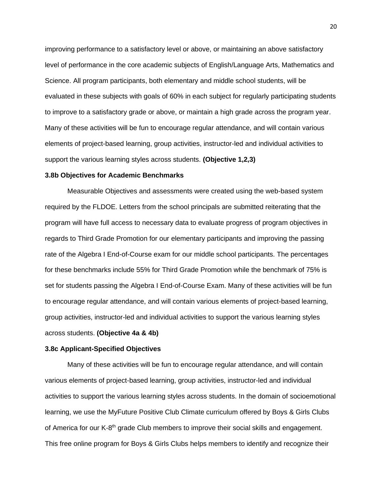improving performance to a satisfactory level or above, or maintaining an above satisfactory level of performance in the core academic subjects of English/Language Arts, Mathematics and Science. All program participants, both elementary and middle school students, will be evaluated in these subjects with goals of 60% in each subject for regularly participating students to improve to a satisfactory grade or above, or maintain a high grade across the program year. Many of these activities will be fun to encourage regular attendance, and will contain various elements of project-based learning, group activities, instructor-led and individual activities to support the various learning styles across students. **(Objective 1,2,3)**

### **3.8b Objectives for Academic Benchmarks**

Measurable Objectives and assessments were created using the web-based system required by the FLDOE. Letters from the school principals are submitted reiterating that the program will have full access to necessary data to evaluate progress of program objectives in regards to Third Grade Promotion for our elementary participants and improving the passing rate of the Algebra I End-of-Course exam for our middle school participants. The percentages for these benchmarks include 55% for Third Grade Promotion while the benchmark of 75% is set for students passing the Algebra I End-of-Course Exam. Many of these activities will be fun to encourage regular attendance, and will contain various elements of project-based learning, group activities, instructor-led and individual activities to support the various learning styles across students. **(Objective 4a & 4b)**

#### **3.8c Applicant-Specified Objectives**

Many of these activities will be fun to encourage regular attendance, and will contain various elements of project-based learning, group activities, instructor-led and individual activities to support the various learning styles across students. In the domain of socioemotional learning, we use the MyFuture Positive Club Climate curriculum offered by Boys & Girls Clubs of America for our K-8<sup>th</sup> grade Club members to improve their social skills and engagement. This free online program for Boys & Girls Clubs helps members to identify and recognize their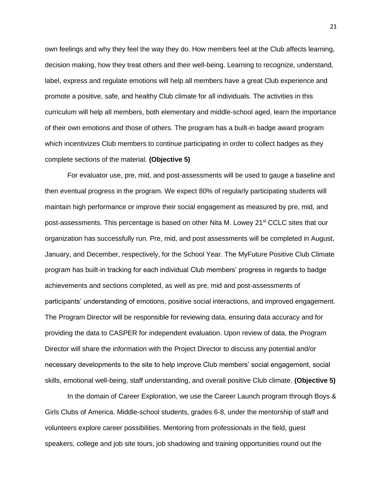own feelings and why they feel the way they do. How members feel at the Club affects learning, decision making, how they treat others and their well-being. Learning to recognize, understand, label, express and regulate emotions will help all members have a great Club experience and promote a positive, safe, and healthy Club climate for all individuals. The activities in this curriculum will help all members, both elementary and middle-school aged, learn the importance of their own emotions and those of others. The program has a built-in badge award program which incentivizes Club members to continue participating in order to collect badges as they complete sections of the material. **(Objective 5)**

For evaluator use, pre, mid, and post-assessments will be used to gauge a baseline and then eventual progress in the program. We expect 80% of regularly participating students will maintain high performance or improve their social engagement as measured by pre, mid, and post-assessments. This percentage is based on other Nita M. Lowey 21<sup>st</sup> CCLC sites that our organization has successfully run. Pre, mid, and post assessments will be completed in August, January, and December, respectively, for the School Year. The MyFuture Positive Club Climate program has built-in tracking for each individual Club members' progress in regards to badge achievements and sections completed, as well as pre, mid and post-assessments of participants' understanding of emotions, positive social interactions, and improved engagement. The Program Director will be responsible for reviewing data, ensuring data accuracy and for providing the data to CASPER for independent evaluation. Upon review of data, the Program Director will share the information with the Project Director to discuss any potential and/or necessary developments to the site to help improve Club members' social engagement, social skills, emotional well-being, staff understanding, and overall positive Club climate. **(Objective 5)**

In the domain of Career Exploration, we use the Career Launch program through Boys & Girls Clubs of America. Middle-school students, grades 6-8, under the mentorship of staff and volunteers explore career possibilities. Mentoring from professionals in the field, guest speakers, college and job site tours, job shadowing and training opportunities round out the

21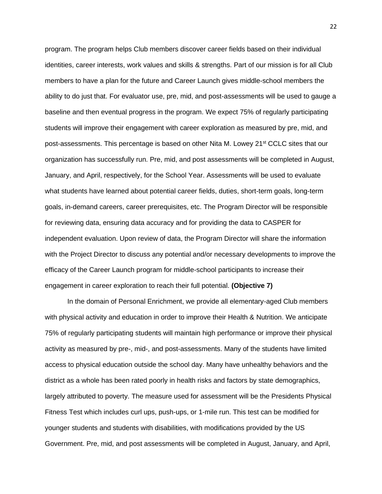program. The program helps Club members discover career fields based on their individual identities, career interests, work values and skills & strengths. Part of our mission is for all Club members to have a plan for the future and Career Launch gives middle-school members the ability to do just that. For evaluator use, pre, mid, and post-assessments will be used to gauge a baseline and then eventual progress in the program. We expect 75% of regularly participating students will improve their engagement with career exploration as measured by pre, mid, and post-assessments. This percentage is based on other Nita M. Lowey 21<sup>st</sup> CCLC sites that our organization has successfully run. Pre, mid, and post assessments will be completed in August, January, and April, respectively, for the School Year. Assessments will be used to evaluate what students have learned about potential career fields, duties, short-term goals, long-term goals, in-demand careers, career prerequisites, etc. The Program Director will be responsible for reviewing data, ensuring data accuracy and for providing the data to CASPER for independent evaluation. Upon review of data, the Program Director will share the information with the Project Director to discuss any potential and/or necessary developments to improve the efficacy of the Career Launch program for middle-school participants to increase their engagement in career exploration to reach their full potential. **(Objective 7)**

In the domain of Personal Enrichment, we provide all elementary-aged Club members with physical activity and education in order to improve their Health & Nutrition. We anticipate 75% of regularly participating students will maintain high performance or improve their physical activity as measured by pre-, mid-, and post-assessments. Many of the students have limited access to physical education outside the school day. Many have unhealthy behaviors and the district as a whole has been rated poorly in health risks and factors by state demographics, largely attributed to poverty. The measure used for assessment will be the Presidents Physical Fitness Test which includes curl ups, push-ups, or 1-mile run. This test can be modified for younger students and students with disabilities, with modifications provided by the US Government. Pre, mid, and post assessments will be completed in August, January, and April,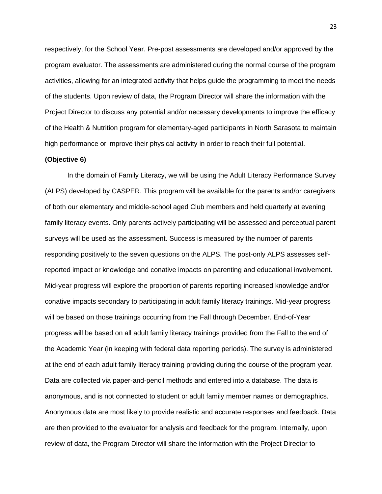respectively, for the School Year. Pre-post assessments are developed and/or approved by the program evaluator. The assessments are administered during the normal course of the program activities, allowing for an integrated activity that helps guide the programming to meet the needs of the students. Upon review of data, the Program Director will share the information with the Project Director to discuss any potential and/or necessary developments to improve the efficacy of the Health & Nutrition program for elementary-aged participants in North Sarasota to maintain high performance or improve their physical activity in order to reach their full potential.

#### **(Objective 6)**

In the domain of Family Literacy, we will be using the Adult Literacy Performance Survey (ALPS) developed by CASPER. This program will be available for the parents and/or caregivers of both our elementary and middle-school aged Club members and held quarterly at evening family literacy events. Only parents actively participating will be assessed and perceptual parent surveys will be used as the assessment. Success is measured by the number of parents responding positively to the seven questions on the ALPS. The post-only ALPS assesses selfreported impact or knowledge and conative impacts on parenting and educational involvement. Mid-year progress will explore the proportion of parents reporting increased knowledge and/or conative impacts secondary to participating in adult family literacy trainings. Mid-year progress will be based on those trainings occurring from the Fall through December. End-of-Year progress will be based on all adult family literacy trainings provided from the Fall to the end of the Academic Year (in keeping with federal data reporting periods). The survey is administered at the end of each adult family literacy training providing during the course of the program year. Data are collected via paper-and-pencil methods and entered into a database. The data is anonymous, and is not connected to student or adult family member names or demographics. Anonymous data are most likely to provide realistic and accurate responses and feedback. Data are then provided to the evaluator for analysis and feedback for the program. Internally, upon review of data, the Program Director will share the information with the Project Director to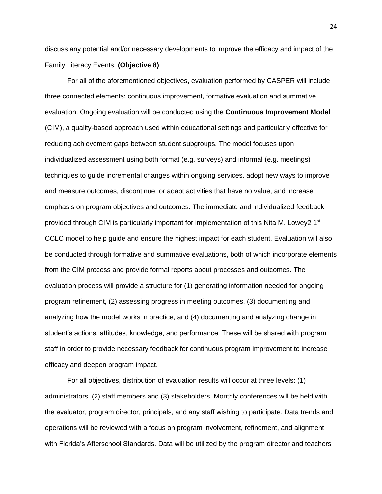discuss any potential and/or necessary developments to improve the efficacy and impact of the Family Literacy Events. **(Objective 8)**

For all of the aforementioned objectives, evaluation performed by CASPER will include three connected elements: continuous improvement, formative evaluation and summative evaluation. Ongoing evaluation will be conducted using the **Continuous Improvement Model**  (CIM), a quality-based approach used within educational settings and particularly effective for reducing achievement gaps between student subgroups. The model focuses upon individualized assessment using both format (e.g. surveys) and informal (e.g. meetings) techniques to guide incremental changes within ongoing services, adopt new ways to improve and measure outcomes, discontinue, or adapt activities that have no value, and increase emphasis on program objectives and outcomes. The immediate and individualized feedback provided through CIM is particularly important for implementation of this Nita M. Lowey2 1<sup>st</sup> CCLC model to help guide and ensure the highest impact for each student. Evaluation will also be conducted through formative and summative evaluations, both of which incorporate elements from the CIM process and provide formal reports about processes and outcomes. The evaluation process will provide a structure for (1) generating information needed for ongoing program refinement, (2) assessing progress in meeting outcomes, (3) documenting and analyzing how the model works in practice, and (4) documenting and analyzing change in student's actions, attitudes, knowledge, and performance. These will be shared with program staff in order to provide necessary feedback for continuous program improvement to increase efficacy and deepen program impact.

For all objectives, distribution of evaluation results will occur at three levels: (1) administrators, (2) staff members and (3) stakeholders. Monthly conferences will be held with the evaluator, program director, principals, and any staff wishing to participate. Data trends and operations will be reviewed with a focus on program involvement, refinement, and alignment with Florida's Afterschool Standards. Data will be utilized by the program director and teachers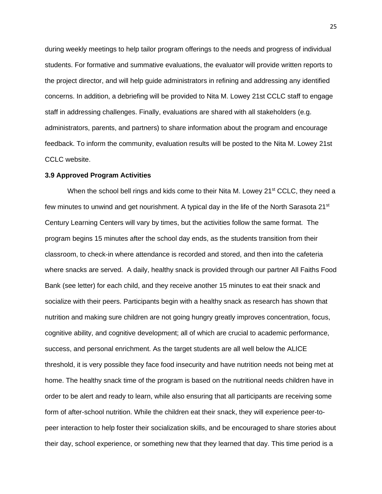during weekly meetings to help tailor program offerings to the needs and progress of individual students. For formative and summative evaluations, the evaluator will provide written reports to the project director, and will help guide administrators in refining and addressing any identified concerns. In addition, a debriefing will be provided to Nita M. Lowey 21st CCLC staff to engage staff in addressing challenges. Finally, evaluations are shared with all stakeholders (e.g. administrators, parents, and partners) to share information about the program and encourage feedback. To inform the community, evaluation results will be posted to the Nita M. Lowey 21st CCLC website.

# **3.9 Approved Program Activities**

When the school bell rings and kids come to their Nita M. Lowey  $21^{st}$  CCLC, they need a few minutes to unwind and get nourishment. A typical day in the life of the North Sarasota 21<sup>st</sup> Century Learning Centers will vary by times, but the activities follow the same format. The program begins 15 minutes after the school day ends, as the students transition from their classroom, to check-in where attendance is recorded and stored, and then into the cafeteria where snacks are served. A daily, healthy snack is provided through our partner All Faiths Food Bank (see letter) for each child, and they receive another 15 minutes to eat their snack and socialize with their peers. Participants begin with a healthy snack as research has shown that nutrition and making sure children are not going hungry greatly improves concentration, focus, cognitive ability, and cognitive development; all of which are crucial to academic performance, success, and personal enrichment. As the target students are all well below the ALICE threshold, it is very possible they face food insecurity and have nutrition needs not being met at home. The healthy snack time of the program is based on the nutritional needs children have in order to be alert and ready to learn, while also ensuring that all participants are receiving some form of after-school nutrition. While the children eat their snack, they will experience peer-topeer interaction to help foster their socialization skills, and be encouraged to share stories about their day, school experience, or something new that they learned that day. This time period is a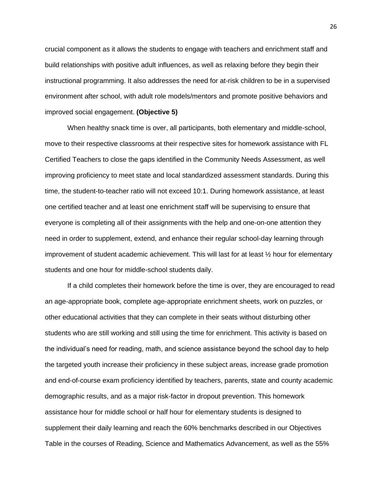crucial component as it allows the students to engage with teachers and enrichment staff and build relationships with positive adult influences, as well as relaxing before they begin their instructional programming. It also addresses the need for at-risk children to be in a supervised environment after school, with adult role models/mentors and promote positive behaviors and improved social engagement. **(Objective 5)**

When healthy snack time is over, all participants, both elementary and middle-school, move to their respective classrooms at their respective sites for homework assistance with FL Certified Teachers to close the gaps identified in the Community Needs Assessment, as well improving proficiency to meet state and local standardized assessment standards. During this time, the student-to-teacher ratio will not exceed 10:1. During homework assistance, at least one certified teacher and at least one enrichment staff will be supervising to ensure that everyone is completing all of their assignments with the help and one-on-one attention they need in order to supplement, extend, and enhance their regular school-day learning through improvement of student academic achievement. This will last for at least ½ hour for elementary students and one hour for middle-school students daily.

If a child completes their homework before the time is over, they are encouraged to read an age-appropriate book, complete age-appropriate enrichment sheets, work on puzzles, or other educational activities that they can complete in their seats without disturbing other students who are still working and still using the time for enrichment. This activity is based on the individual's need for reading, math, and science assistance beyond the school day to help the targeted youth increase their proficiency in these subject areas, increase grade promotion and end-of-course exam proficiency identified by teachers, parents, state and county academic demographic results, and as a major risk-factor in dropout prevention. This homework assistance hour for middle school or half hour for elementary students is designed to supplement their daily learning and reach the 60% benchmarks described in our Objectives Table in the courses of Reading, Science and Mathematics Advancement, as well as the 55%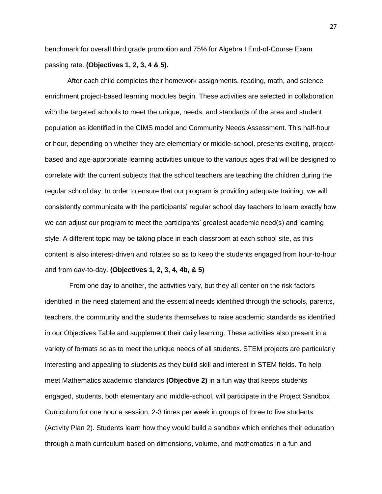benchmark for overall third grade promotion and 75% for Algebra I End-of-Course Exam passing rate. **(Objectives 1, 2, 3, 4 & 5).**

After each child completes their homework assignments, reading, math, and science enrichment project-based learning modules begin. These activities are selected in collaboration with the targeted schools to meet the unique, needs, and standards of the area and student population as identified in the CIMS model and Community Needs Assessment. This half-hour or hour, depending on whether they are elementary or middle-school, presents exciting, projectbased and age-appropriate learning activities unique to the various ages that will be designed to correlate with the current subjects that the school teachers are teaching the children during the regular school day. In order to ensure that our program is providing adequate training, we will consistently communicate with the participants' regular school day teachers to learn exactly how we can adjust our program to meet the participants' greatest academic need(s) and learning style. A different topic may be taking place in each classroom at each school site, as this content is also interest-driven and rotates so as to keep the students engaged from hour-to-hour and from day-to-day. **(Objectives 1, 2, 3, 4, 4b, & 5)**

From one day to another, the activities vary, but they all center on the risk factors identified in the need statement and the essential needs identified through the schools, parents, teachers, the community and the students themselves to raise academic standards as identified in our Objectives Table and supplement their daily learning. These activities also present in a variety of formats so as to meet the unique needs of all students. STEM projects are particularly interesting and appealing to students as they build skill and interest in STEM fields. To help meet Mathematics academic standards **(Objective 2)** in a fun way that keeps students engaged, students, both elementary and middle-school, will participate in the Project Sandbox Curriculum for one hour a session, 2-3 times per week in groups of three to five students (Activity Plan 2). Students learn how they would build a sandbox which enriches their education through a math curriculum based on dimensions, volume, and mathematics in a fun and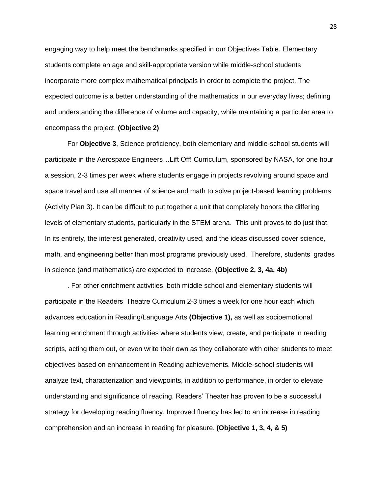engaging way to help meet the benchmarks specified in our Objectives Table. Elementary students complete an age and skill-appropriate version while middle-school students incorporate more complex mathematical principals in order to complete the project. The expected outcome is a better understanding of the mathematics in our everyday lives; defining and understanding the difference of volume and capacity, while maintaining a particular area to encompass the project. **(Objective 2)**

For **Objective 3**, Science proficiency, both elementary and middle-school students will participate in the Aerospace Engineers…Lift Off! Curriculum, sponsored by NASA, for one hour a session, 2-3 times per week where students engage in projects revolving around space and space travel and use all manner of science and math to solve project-based learning problems (Activity Plan 3). It can be difficult to put together a unit that completely honors the differing levels of elementary students, particularly in the STEM arena. This unit proves to do just that. In its entirety, the interest generated, creativity used, and the ideas discussed cover science, math, and engineering better than most programs previously used. Therefore, students' grades in science (and mathematics) are expected to increase. **(Objective 2, 3, 4a, 4b)**

. For other enrichment activities, both middle school and elementary students will participate in the Readers' Theatre Curriculum 2-3 times a week for one hour each which advances education in Reading/Language Arts **(Objective 1),** as well as socioemotional learning enrichment through activities where students view, create, and participate in reading scripts, acting them out, or even write their own as they collaborate with other students to meet objectives based on enhancement in Reading achievements. Middle-school students will analyze text, characterization and viewpoints, in addition to performance, in order to elevate understanding and significance of reading. Readers' Theater has proven to be a successful strategy for developing reading fluency. Improved fluency has led to an increase in reading comprehension and an increase in reading for pleasure. **(Objective 1, 3, 4, & 5)**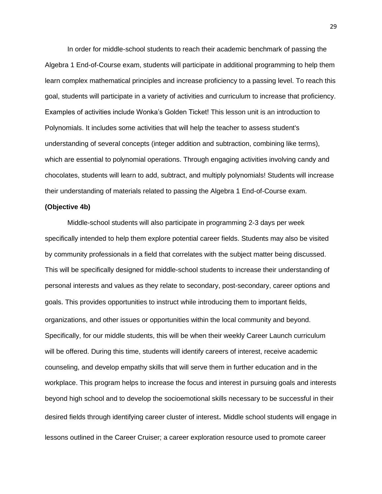In order for middle-school students to reach their academic benchmark of passing the Algebra 1 End-of-Course exam, students will participate in additional programming to help them learn complex mathematical principles and increase proficiency to a passing level. To reach this goal, students will participate in a variety of activities and curriculum to increase that proficiency. Examples of activities include Wonka's Golden Ticket! This lesson unit is an introduction to Polynomials. It includes some activities that will help the teacher to assess student's understanding of several concepts (integer addition and subtraction, combining like terms), which are essential to polynomial operations. Through engaging activities involving candy and chocolates, students will learn to add, subtract, and multiply polynomials! Students will increase their understanding of materials related to passing the Algebra 1 End-of-Course exam.

### **(Objective 4b)**

Middle-school students will also participate in programming 2-3 days per week specifically intended to help them explore potential career fields. Students may also be visited by community professionals in a field that correlates with the subject matter being discussed. This will be specifically designed for middle-school students to increase their understanding of personal interests and values as they relate to secondary, post-secondary, career options and goals. This provides opportunities to instruct while introducing them to important fields, organizations, and other issues or opportunities within the local community and beyond. Specifically, for our middle students, this will be when their weekly Career Launch curriculum will be offered. During this time, students will identify careers of interest, receive academic counseling, and develop empathy skills that will serve them in further education and in the workplace. This program helps to increase the focus and interest in pursuing goals and interests beyond high school and to develop the socioemotional skills necessary to be successful in their desired fields through identifying career cluster of interest. Middle school students will engage in lessons outlined in the Career Cruiser; a career exploration resource used to promote career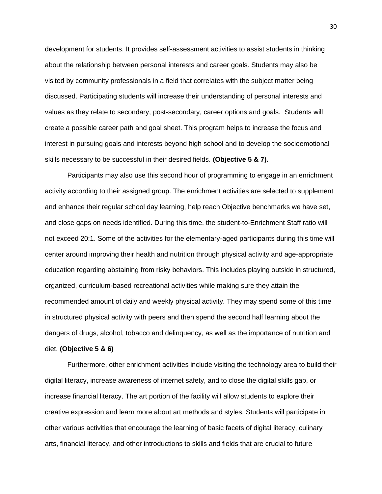development for students. It provides self-assessment activities to assist students in thinking about the relationship between personal interests and career goals. Students may also be visited by community professionals in a field that correlates with the subject matter being discussed. Participating students will increase their understanding of personal interests and values as they relate to secondary, post-secondary, career options and goals. Students will create a possible career path and goal sheet. This program helps to increase the focus and interest in pursuing goals and interests beyond high school and to develop the socioemotional skills necessary to be successful in their desired fields. **(Objective 5 & 7).**

Participants may also use this second hour of programming to engage in an enrichment activity according to their assigned group. The enrichment activities are selected to supplement and enhance their regular school day learning, help reach Objective benchmarks we have set, and close gaps on needs identified. During this time, the student-to-Enrichment Staff ratio will not exceed 20:1. Some of the activities for the elementary-aged participants during this time will center around improving their health and nutrition through physical activity and age-appropriate education regarding abstaining from risky behaviors. This includes playing outside in structured, organized, curriculum-based recreational activities while making sure they attain the recommended amount of daily and weekly physical activity. They may spend some of this time in structured physical activity with peers and then spend the second half learning about the dangers of drugs, alcohol, tobacco and delinquency, as well as the importance of nutrition and diet. **(Objective 5 & 6)**

Furthermore, other enrichment activities include visiting the technology area to build their digital literacy, increase awareness of internet safety, and to close the digital skills gap, or increase financial literacy. The art portion of the facility will allow students to explore their creative expression and learn more about art methods and styles. Students will participate in other various activities that encourage the learning of basic facets of digital literacy, culinary arts, financial literacy, and other introductions to skills and fields that are crucial to future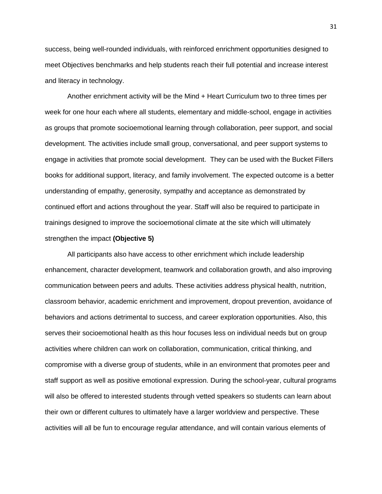success, being well-rounded individuals, with reinforced enrichment opportunities designed to meet Objectives benchmarks and help students reach their full potential and increase interest and literacy in technology.

Another enrichment activity will be the Mind + Heart Curriculum two to three times per week for one hour each where all students, elementary and middle-school, engage in activities as groups that promote socioemotional learning through collaboration, peer support, and social development. The activities include small group, conversational, and peer support systems to engage in activities that promote social development. They can be used with the Bucket Fillers books for additional support, literacy, and family involvement. The expected outcome is a better understanding of empathy, generosity, sympathy and acceptance as demonstrated by continued effort and actions throughout the year. Staff will also be required to participate in trainings designed to improve the socioemotional climate at the site which will ultimately strengthen the impact **(Objective 5)**

All participants also have access to other enrichment which include leadership enhancement, character development, teamwork and collaboration growth, and also improving communication between peers and adults. These activities address physical health, nutrition, classroom behavior, academic enrichment and improvement, dropout prevention, avoidance of behaviors and actions detrimental to success, and career exploration opportunities. Also, this serves their socioemotional health as this hour focuses less on individual needs but on group activities where children can work on collaboration, communication, critical thinking, and compromise with a diverse group of students, while in an environment that promotes peer and staff support as well as positive emotional expression. During the school-year, cultural programs will also be offered to interested students through vetted speakers so students can learn about their own or different cultures to ultimately have a larger worldview and perspective. These activities will all be fun to encourage regular attendance, and will contain various elements of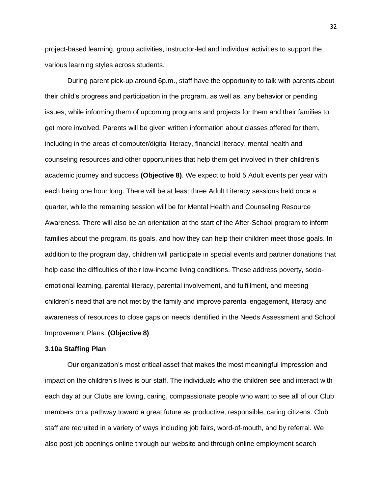project-based learning, group activities, instructor-led and individual activities to support the various learning styles across students.

During parent pick-up around 6p.m., staff have the opportunity to talk with parents about their child's progress and participation in the program, as well as, any behavior or pending issues, while informing them of upcoming programs and projects for them and their families to get more involved. Parents will be given written information about classes offered for them, including in the areas of computer/digital literacy, financial literacy, mental health and counseling resources and other opportunities that help them get involved in their children's academic journey and success **(Objective 8)**. We expect to hold 5 Adult events per year with each being one hour long. There will be at least three Adult Literacy sessions held once a quarter, while the remaining session will be for Mental Health and Counseling Resource Awareness. There will also be an orientation at the start of the After-School program to inform families about the program, its goals, and how they can help their children meet those goals. In addition to the program day, children will participate in special events and partner donations that help ease the difficulties of their low-income living conditions. These address poverty, socioemotional learning, parental literacy, parental involvement, and fulfillment, and meeting children's need that are not met by the family and improve parental engagement, literacy and awareness of resources to close gaps on needs identified in the Needs Assessment and School Improvement Plans. **(Objective 8)**

#### **3.10a Staffing Plan**

Our organization's most critical asset that makes the most meaningful impression and impact on the children's lives is our staff. The individuals who the children see and interact with each day at our Clubs are loving, caring, compassionate people who want to see all of our Club members on a pathway toward a great future as productive, responsible, caring citizens. Club staff are recruited in a variety of ways including job fairs, word-of-mouth, and by referral. We also post job openings online through our website and through online employment search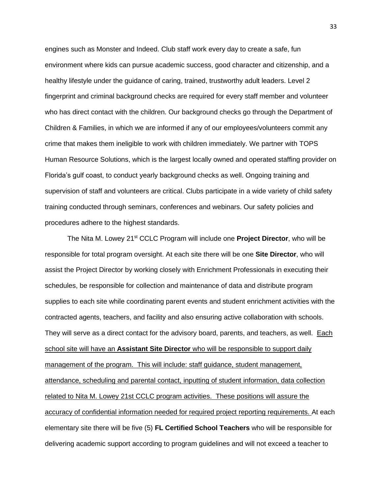engines such as Monster and Indeed. Club staff work every day to create a safe, fun environment where kids can pursue academic success, good character and citizenship, and a healthy lifestyle under the guidance of caring, trained, trustworthy adult leaders. Level 2 fingerprint and criminal background checks are required for every staff member and volunteer who has direct contact with the children. Our background checks go through the Department of Children & Families, in which we are informed if any of our employees/volunteers commit any crime that makes them ineligible to work with children immediately. We partner with TOPS Human Resource Solutions, which is the largest locally owned and operated staffing provider on Florida's gulf coast, to conduct yearly background checks as well. Ongoing training and supervision of staff and volunteers are critical. Clubs participate in a wide variety of child safety training conducted through seminars, conferences and webinars. Our safety policies and procedures adhere to the highest standards.

The Nita M. Lowey 21st CCLC Program will include one **Project Director**, who will be responsible for total program oversight. At each site there will be one **Site Director**, who will assist the Project Director by working closely with Enrichment Professionals in executing their schedules, be responsible for collection and maintenance of data and distribute program supplies to each site while coordinating parent events and student enrichment activities with the contracted agents, teachers, and facility and also ensuring active collaboration with schools. They will serve as a direct contact for the advisory board, parents, and teachers, as well. Each school site will have an **Assistant Site Director** who will be responsible to support daily management of the program. This will include: staff guidance, student management, attendance, scheduling and parental contact, inputting of student information, data collection related to Nita M. Lowey 21st CCLC program activities. These positions will assure the accuracy of confidential information needed for required project reporting requirements. At each elementary site there will be five (5) **FL Certified School Teachers** who will be responsible for delivering academic support according to program guidelines and will not exceed a teacher to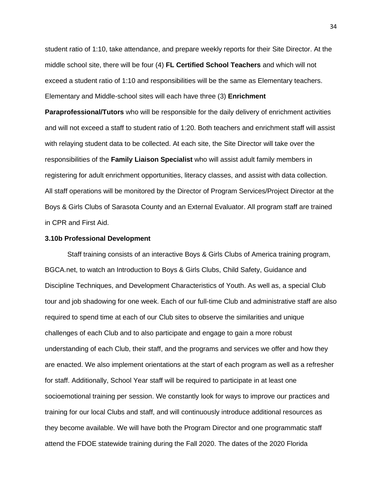student ratio of 1:10, take attendance, and prepare weekly reports for their Site Director. At the middle school site, there will be four (4) **FL Certified School Teachers** and which will not exceed a student ratio of 1:10 and responsibilities will be the same as Elementary teachers. Elementary and Middle-school sites will each have three (3) **Enrichment** 

**Paraprofessional/Tutors** who will be responsible for the daily delivery of enrichment activities and will not exceed a staff to student ratio of 1:20. Both teachers and enrichment staff will assist with relaying student data to be collected. At each site, the Site Director will take over the responsibilities of the **Family Liaison Specialist** who will assist adult family members in registering for adult enrichment opportunities, literacy classes, and assist with data collection. All staff operations will be monitored by the Director of Program Services/Project Director at the Boys & Girls Clubs of Sarasota County and an External Evaluator. All program staff are trained in CPR and First Aid.

### **3.10b Professional Development**

Staff training consists of an interactive Boys & Girls Clubs of America training program, BGCA.net, to watch an Introduction to Boys & Girls Clubs, Child Safety, Guidance and Discipline Techniques, and Development Characteristics of Youth. As well as, a special Club tour and job shadowing for one week. Each of our full-time Club and administrative staff are also required to spend time at each of our Club sites to observe the similarities and unique challenges of each Club and to also participate and engage to gain a more robust understanding of each Club, their staff, and the programs and services we offer and how they are enacted. We also implement orientations at the start of each program as well as a refresher for staff. Additionally, School Year staff will be required to participate in at least one socioemotional training per session. We constantly look for ways to improve our practices and training for our local Clubs and staff, and will continuously introduce additional resources as they become available. We will have both the Program Director and one programmatic staff attend the FDOE statewide training during the Fall 2020. The dates of the 2020 Florida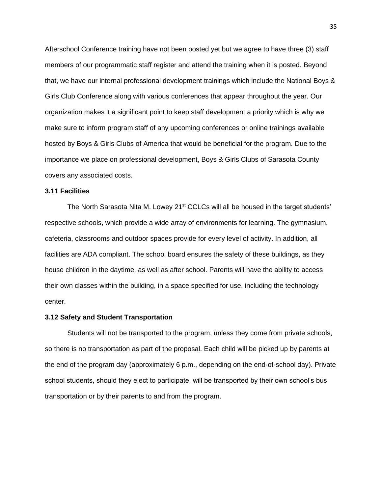Afterschool Conference training have not been posted yet but we agree to have three (3) staff members of our programmatic staff register and attend the training when it is posted. Beyond that, we have our internal professional development trainings which include the National Boys & Girls Club Conference along with various conferences that appear throughout the year. Our organization makes it a significant point to keep staff development a priority which is why we make sure to inform program staff of any upcoming conferences or online trainings available hosted by Boys & Girls Clubs of America that would be beneficial for the program. Due to the importance we place on professional development, Boys & Girls Clubs of Sarasota County covers any associated costs.

#### **3.11 Facilities**

The North Sarasota Nita M. Lowey  $21^{st}$  CCLCs will all be housed in the target students' respective schools, which provide a wide array of environments for learning. The gymnasium, cafeteria, classrooms and outdoor spaces provide for every level of activity. In addition, all facilities are ADA compliant. The school board ensures the safety of these buildings, as they house children in the daytime, as well as after school. Parents will have the ability to access their own classes within the building, in a space specified for use, including the technology center.

## **3.12 Safety and Student Transportation**

Students will not be transported to the program, unless they come from private schools, so there is no transportation as part of the proposal. Each child will be picked up by parents at the end of the program day (approximately 6 p.m., depending on the end-of-school day). Private school students, should they elect to participate, will be transported by their own school's bus transportation or by their parents to and from the program.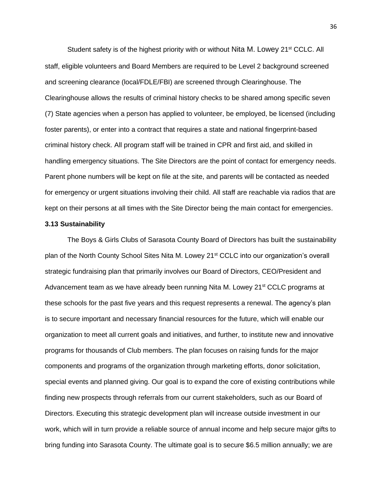Student safety is of the highest priority with or without Nita M. Lowey 21<sup>st</sup> CCLC. All staff, eligible volunteers and Board Members are required to be Level 2 background screened and screening clearance (local/FDLE/FBI) are screened through Clearinghouse. The Clearinghouse allows the results of criminal history checks to be shared among specific seven (7) State agencies when a person has applied to volunteer, be employed, be licensed (including foster parents), or enter into a contract that requires a state and national fingerprint-based criminal history check. All program staff will be trained in CPR and first aid, and skilled in handling emergency situations. The Site Directors are the point of contact for emergency needs. Parent phone numbers will be kept on file at the site, and parents will be contacted as needed for emergency or urgent situations involving their child. All staff are reachable via radios that are kept on their persons at all times with the Site Director being the main contact for emergencies.

#### **3.13 Sustainability**

The Boys & Girls Clubs of Sarasota County Board of Directors has built the sustainability plan of the North County School Sites Nita M. Lowey 21<sup>st</sup> CCLC into our organization's overall strategic fundraising plan that primarily involves our Board of Directors, CEO/President and Advancement team as we have already been running Nita M. Lowey  $21<sup>st</sup> CCLC$  programs at these schools for the past five years and this request represents a renewal. The agency's plan is to secure important and necessary financial resources for the future, which will enable our organization to meet all current goals and initiatives, and further, to institute new and innovative programs for thousands of Club members. The plan focuses on raising funds for the major components and programs of the organization through marketing efforts, donor solicitation, special events and planned giving. Our goal is to expand the core of existing contributions while finding new prospects through referrals from our current stakeholders, such as our Board of Directors. Executing this strategic development plan will increase outside investment in our work, which will in turn provide a reliable source of annual income and help secure major gifts to bring funding into Sarasota County. The ultimate goal is to secure \$6.5 million annually; we are